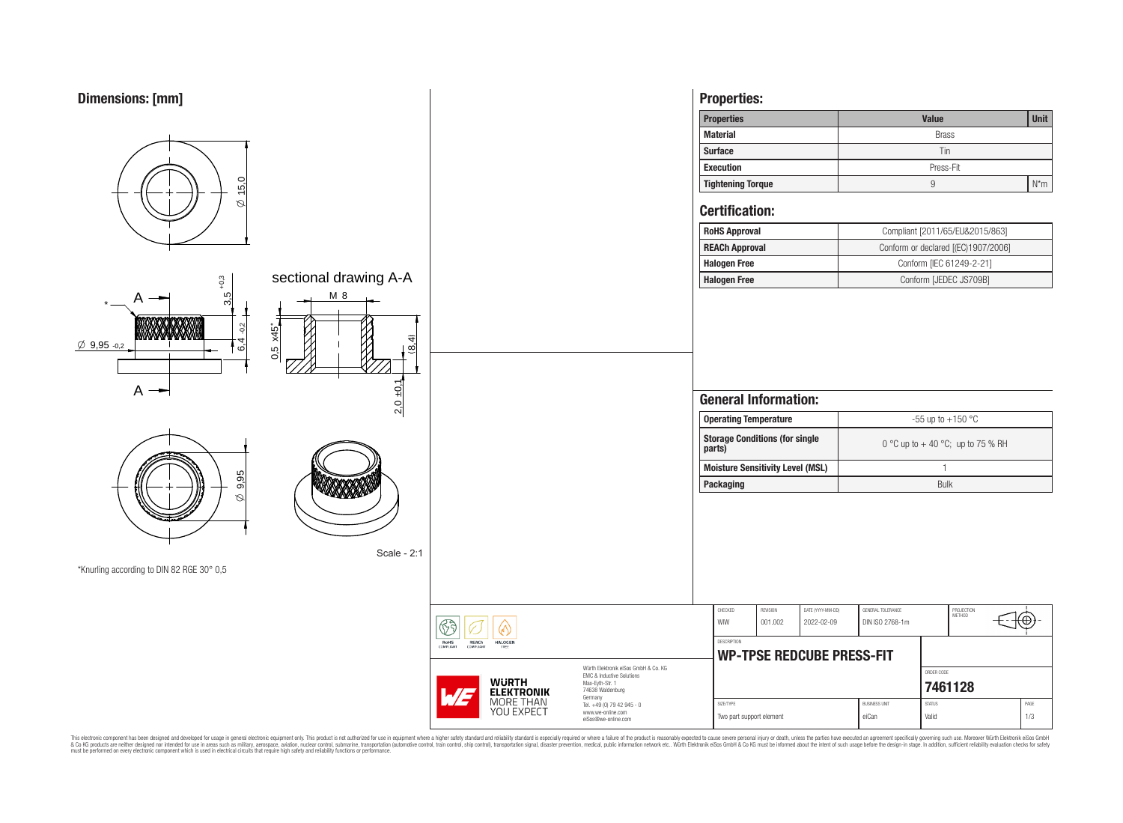

This electronic component has been designed and developed for usage in general electronic equipment only. This product is not authorized for subserved requipment where a higher selection equipment where a higher selection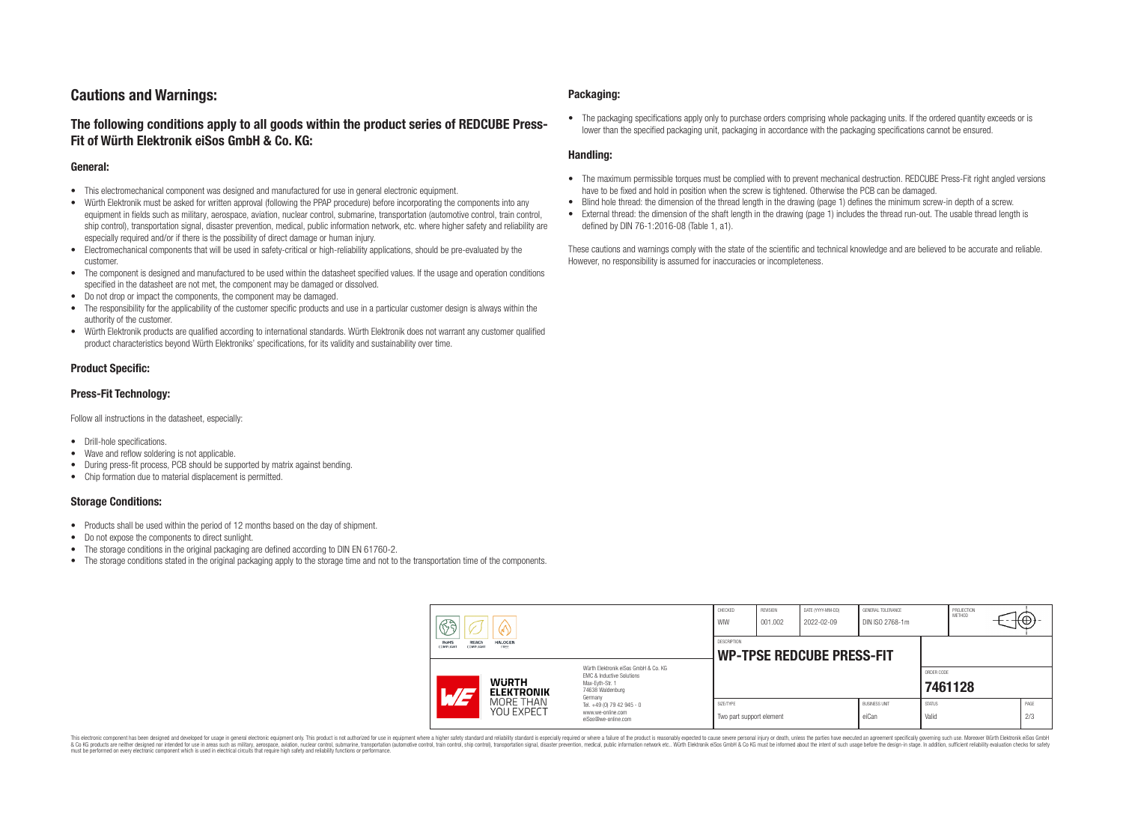# **Cautions and Warnings:**

# **The following conditions apply to all goods within the product series of REDCUBE Press-Fit of Würth Elektronik eiSos GmbH & Co. KG:**

### **General:**

- This electromechanical component was designed and manufactured for use in general electronic equipment.
- Würth Elektronik must be asked for written approval (following the PPAP procedure) before incorporating the components into any equipment in fields such as military, aerospace, aviation, nuclear control, submarine, transportation (automotive control, train control, ship control), transportation signal, disaster prevention, medical, public information network, etc. where higher safety and reliability are especially required and/or if there is the possibility of direct damage or human injury.
- Electromechanical components that will be used in safety-critical or high-reliability applications, should be pre-evaluated by the customer.
- The component is designed and manufactured to be used within the datasheet specified values. If the usage and operation conditions specified in the datasheet are not met, the component may be damaged or dissolved.
- Do not drop or impact the components, the component may be damaged.
- The responsibility for the applicability of the customer specific products and use in a particular customer design is always within the authority of the customer.
- Würth Elektronik products are qualified according to international standards. Würth Elektronik does not warrant any customer qualified product characteristics beyond Würth Elektroniks' specifications, for its validity and sustainability over time.

### **Product Specific:**

### **Press-Fit Technology:**

Follow all instructions in the datasheet, especially:

- Drill-hole specifications.
- Wave and reflow soldering is not applicable.
- During press-fit process, PCB should be supported by matrix against bending.
- Chip formation due to material displacement is permitted.

### **Storage Conditions:**

- Products shall be used within the period of 12 months based on the day of shipment.
- Do not expose the components to direct sunlight.
- The storage conditions in the original packaging are defined according to DIN EN 61760-2.
- The storage conditions stated in the original packaging apply to the storage time and not to the transportation time of the components.

#### **Packaging:**

• The packaging specifications apply only to purchase orders comprising whole packaging units. If the ordered quantity exceeds or is lower than the specified packaging unit, packaging in accordance with the packaging specifications cannot be ensured.

### **Handling:**

- The maximum permissible torques must be complied with to prevent mechanical destruction. REDCUBE Press-Fit right angled versions have to be fixed and hold in position when the screw is tightened. Otherwise the PCB can be damaged.
- Blind hole thread: the dimension of the thread length in the drawing (page 1) defines the minimum screw-in depth of a screw.
- External thread: the dimension of the shaft length in the drawing (page 1) includes the thread run-out. The usable thread length is defined by DIN 76-1:2016-08 (Table 1, a1).

These cautions and warnings comply with the state of the scientific and technical knowledge and are believed to be accurate and reliable. However, no responsibility is assumed for inaccuracies or incompleteness.

| $\circledS$                                                                            |                                                                                                                                                                                               | CHECKED<br>WIW                        | <b>REVISION</b><br>001.002                      | DATE (YYYY-MM-DD)<br>2022-02-09 | GENERAL TOLERANCE<br>DIN ISO 2768-1m |                        | PROJECTION<br>METHOD |  | $H\oplus$   |
|----------------------------------------------------------------------------------------|-----------------------------------------------------------------------------------------------------------------------------------------------------------------------------------------------|---------------------------------------|-------------------------------------------------|---------------------------------|--------------------------------------|------------------------|----------------------|--|-------------|
| <b>RoHS</b><br><b>REACh</b><br><b>HALOGEN</b><br>COMPLIANT<br><b>COMPLIANT</b><br>FREE |                                                                                                                                                                                               |                                       | DESCRIPTION<br><b>WP-TPSE REDCUBE PRESS-FIT</b> |                                 |                                      |                        |                      |  |             |
| <b>WURTH</b><br>AT<br><b>ELEKTRONIK</b>                                                | Würth Elektronik eiSos GmbH & Co. KG<br>EMC & Inductive Solutions<br>Max-Evth-Str. 1<br>74638 Waldenburg<br>Germany<br>Tel. +49 (0) 79 42 945 - 0<br>www.we-online.com<br>eiSos@we-online.com |                                       |                                                 |                                 |                                      | ORDER CODE<br>7461128  |                      |  |             |
| MORE THAN<br>YOU EXPECT                                                                |                                                                                                                                                                                               | SIZE/TYPE<br>Two part support element |                                                 |                                 | <b>BUSINESS UNIT</b><br>eiCan        | <b>STATUS</b><br>Valid |                      |  | PAGE<br>2/3 |

This electronic component has been designed and developed for usage in general electronic equipment only. This product is not authorized for use in equipment where a higher safety standard and reliability standard si espec & Ook product a label and the membed of the seasuch as marked and as which such a membed and the such assume that income in the seasuch and the simulation and the such assume that include to the such a membed and the such